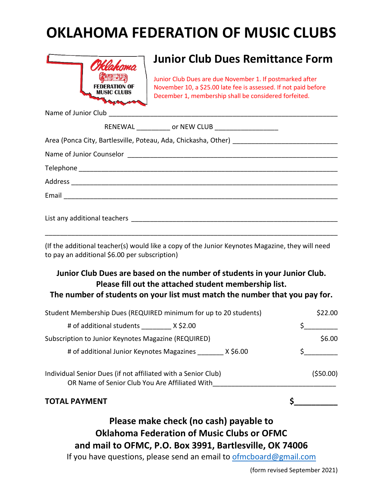## **OKLAHOMA FEDERATION OF MUSIC CLUBS**



## **Junior Club Dues Remittance Form**

Junior Club Dues are due November 1. If postmarked after November 10, a \$25.00 late fee is assessed. If not paid before December 1, membership shall be considered forfeited.

Name of Junior Club

| (If the additional teacher(s) would like a copy of the Junior Keynotes Magazine, they will need<br>to pay an additional \$6.00 per subscription)                                                                  |               |
|-------------------------------------------------------------------------------------------------------------------------------------------------------------------------------------------------------------------|---------------|
| Junior Club Dues are based on the number of students in your Junior Club.<br>Please fill out the attached student membership list.<br>The number of students on your list must match the number that you pay for. |               |
| Student Membership Dues (REQUIRED minimum for up to 20 students)                                                                                                                                                  | \$22.00       |
| # of additional students X\$2.00                                                                                                                                                                                  | $\frac{1}{2}$ |
| Subscription to Junior Keynotes Magazine (REQUIRED)                                                                                                                                                               | \$6.00        |
| # of additional Junior Keynotes Magazines _________ X \$6.00                                                                                                                                                      | $\sharp$      |
| Individual Senior Dues (if not affiliated with a Senior Club)<br>OR Name of Senior Club You Are Affiliated With                                                                                                   | (550.00)      |

**TOTAL PAYMENT \$\_\_\_\_\_\_\_\_\_\_**

## **Please make check (no cash) payable to Oklahoma Federation of Music Clubs or OFMC and mail to OFMC, P.O. Box 3991, Bartlesville, OK 74006**

If you have questions, please send an email to [ofmcboard@gmail.com](mailto:ofmcboard@gmail.com)